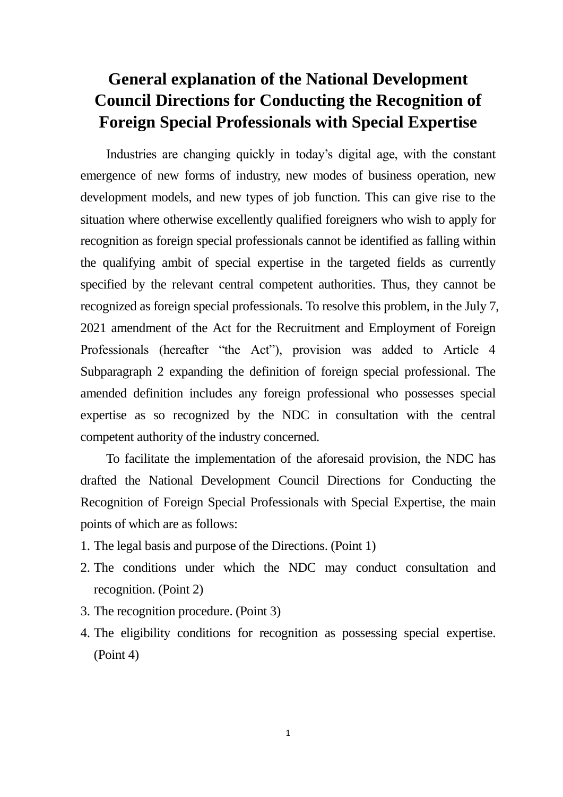## **General explanation of the National Development Council Directions for Conducting the Recognition of Foreign Special Professionals with Special Expertise**

Industries are changing quickly in today's digital age, with the constant emergence of new forms of industry, new modes of business operation, new development models, and new types of job function. This can give rise to the situation where otherwise excellently qualified foreigners who wish to apply for recognition as foreign special professionals cannot be identified as falling within the qualifying ambit of special expertise in the targeted fields as currently specified by the relevant central competent authorities. Thus, they cannot be recognized as foreign special professionals. To resolve this problem, in the July 7, 2021 amendment of the Act for the Recruitment and Employment of Foreign Professionals (hereafter "the Act"), provision was added to Article 4 Subparagraph 2 expanding the definition of foreign special professional. The amended definition includes any foreign professional who possesses special expertise as so recognized by the NDC in consultation with the central competent authority of the industry concerned.

To facilitate the implementation of the aforesaid provision, the NDC has drafted the National Development Council Directions for Conducting the Recognition of Foreign Special Professionals with Special Expertise, the main points of which are as follows:

- 1. The legal basis and purpose of the Directions. (Point 1)
- 2. The conditions under which the NDC may conduct consultation and recognition. (Point 2)
- 3. The recognition procedure. (Point 3)
- 4. The eligibility conditions for recognition as possessing special expertise. (Point 4)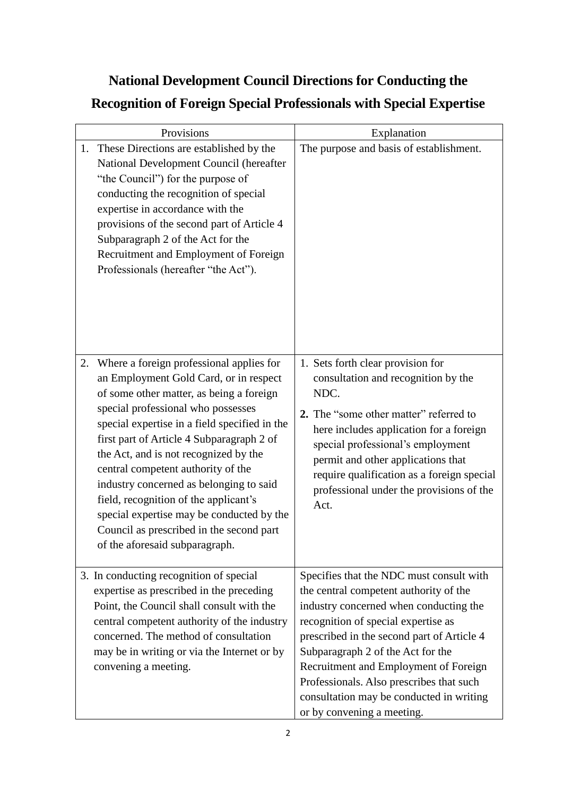## **National Development Council Directions for Conducting the Recognition of Foreign Special Professionals with Special Expertise**

| Provisions                                                                                                                                                                                                                                                                                                                                                                                                                                                                                                                                                             | Explanation                                                                                                                                                                                                                                                                                                                                                                                                           |
|------------------------------------------------------------------------------------------------------------------------------------------------------------------------------------------------------------------------------------------------------------------------------------------------------------------------------------------------------------------------------------------------------------------------------------------------------------------------------------------------------------------------------------------------------------------------|-----------------------------------------------------------------------------------------------------------------------------------------------------------------------------------------------------------------------------------------------------------------------------------------------------------------------------------------------------------------------------------------------------------------------|
| These Directions are established by the<br>1.<br>National Development Council (hereafter<br>"the Council") for the purpose of<br>conducting the recognition of special<br>expertise in accordance with the<br>provisions of the second part of Article 4<br>Subparagraph 2 of the Act for the<br>Recruitment and Employment of Foreign<br>Professionals (hereafter "the Act").                                                                                                                                                                                         | The purpose and basis of establishment.                                                                                                                                                                                                                                                                                                                                                                               |
| Where a foreign professional applies for<br>2.<br>an Employment Gold Card, or in respect<br>of some other matter, as being a foreign<br>special professional who possesses<br>special expertise in a field specified in the<br>first part of Article 4 Subparagraph 2 of<br>the Act, and is not recognized by the<br>central competent authority of the<br>industry concerned as belonging to said<br>field, recognition of the applicant's<br>special expertise may be conducted by the<br>Council as prescribed in the second part<br>of the aforesaid subparagraph. | 1. Sets forth clear provision for<br>consultation and recognition by the<br>NDC.<br>2. The "some other matter" referred to<br>here includes application for a foreign<br>special professional's employment<br>permit and other applications that<br>require qualification as a foreign special<br>professional under the provisions of the<br>Act.                                                                    |
| 3. In conducting recognition of special<br>expertise as prescribed in the preceding<br>Point, the Council shall consult with the<br>central competent authority of the industry<br>concerned. The method of consultation<br>may be in writing or via the Internet or by<br>convening a meeting.                                                                                                                                                                                                                                                                        | Specifies that the NDC must consult with<br>the central competent authority of the<br>industry concerned when conducting the<br>recognition of special expertise as<br>prescribed in the second part of Article 4<br>Subparagraph 2 of the Act for the<br>Recruitment and Employment of Foreign<br>Professionals. Also prescribes that such<br>consultation may be conducted in writing<br>or by convening a meeting. |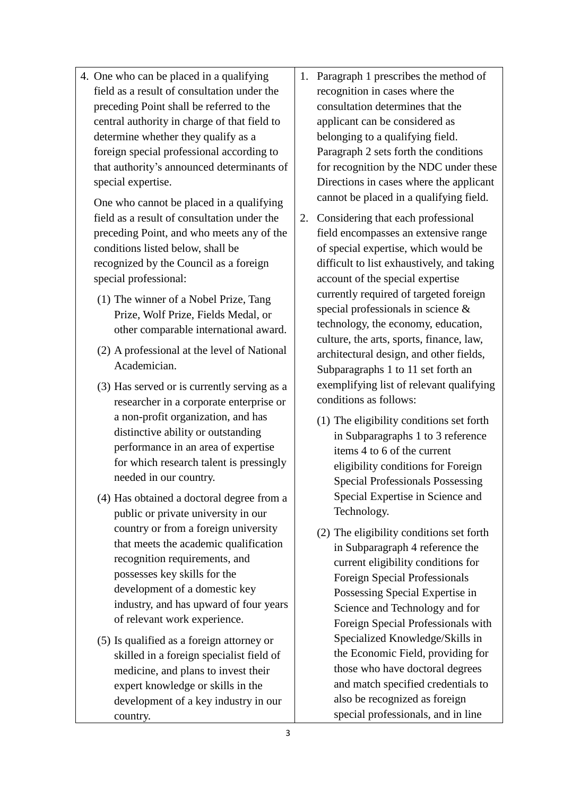4. One who can be placed in a qualifying field as a result of consultation under the preceding Point shall be referred to the central authority in charge of that field to determine whether they qualify as a foreign special professional according to that authority's announced determinants of special expertise.

One who cannot be placed in a qualifying field as a result of consultation under the preceding Point, and who meets any of the conditions listed below, shall be recognized by the Council as a foreign special professional:

- (1) The winner of a Nobel Prize, Tang Prize, Wolf Prize, Fields Medal, or other comparable international award.
- (2) A professional at the level of National Academician.
- (3) Has served or is currently serving as a researcher in a corporate enterprise or a non-profit organization, and has distinctive ability or outstanding performance in an area of expertise for which research talent is pressingly needed in our country.
- (4) Has obtained a doctoral degree from a public or private university in our country or from a foreign university that meets the academic qualification recognition requirements, and possesses key skills for the development of a domestic key industry, and has upward of four years of relevant work experience.
- (5) Is qualified as a foreign attorney or skilled in a foreign specialist field of medicine, and plans to invest their expert knowledge or skills in the development of a key industry in our country.
- 1. Paragraph 1 prescribes the method of recognition in cases where the consultation determines that the applicant can be considered as belonging to a qualifying field. Paragraph 2 sets forth the conditions for recognition by the NDC under these Directions in cases where the applicant cannot be placed in a qualifying field.
- 2. Considering that each professional field encompasses an extensive range of special expertise, which would be difficult to list exhaustively, and taking account of the special expertise currently required of targeted foreign special professionals in science & technology, the economy, education, culture, the arts, sports, finance, law, architectural design, and other fields, Subparagraphs 1 to 11 set forth an exemplifying list of relevant qualifying conditions as follows:
	- (1) The eligibility conditions set forth in Subparagraphs 1 to 3 reference items 4 to 6 of the current eligibility conditions for Foreign Special Professionals Possessing Special Expertise in Science and Technology.
	- (2) The eligibility conditions set forth in Subparagraph 4 reference the current eligibility conditions for Foreign Special Professionals Possessing Special Expertise in Science and Technology and for Foreign Special Professionals with Specialized Knowledge/Skills in the Economic Field, providing for those who have doctoral degrees and match specified credentials to also be recognized as foreign special professionals, and in line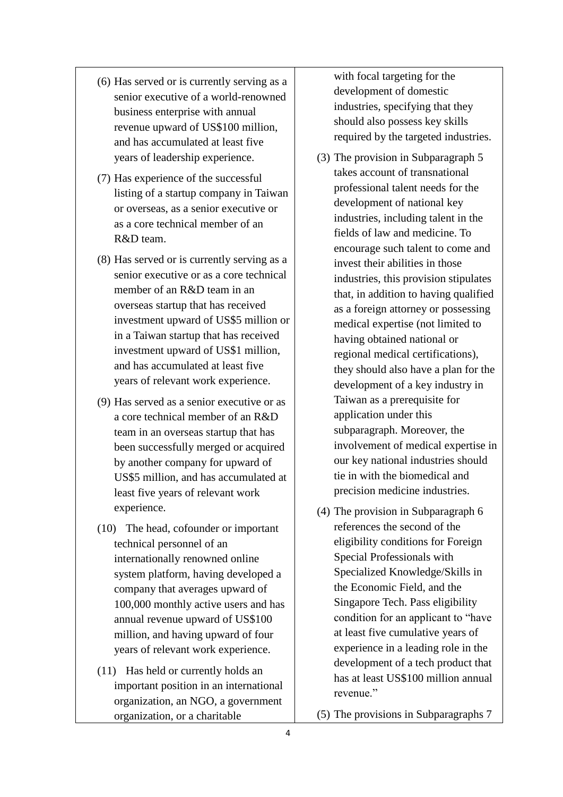- (6) Has served or is currently serving as a senior executive of a world-renowned business enterprise with annual revenue upward of US\$100 million, and has accumulated at least five years of leadership experience.
- (7) Has experience of the successful listing of a startup company in Taiwan or overseas, as a senior executive or as a core technical member of an R&D team.
- (8) Has served or is currently serving as a senior executive or as a core technical member of an R&D team in an overseas startup that has received investment upward of US\$5 million or in a Taiwan startup that has received investment upward of US\$1 million, and has accumulated at least five years of relevant work experience.
- (9) Has served as a senior executive or as a core technical member of an R&D team in an overseas startup that has been successfully merged or acquired by another company for upward of US\$5 million, and has accumulated at least five years of relevant work experience.
- (10) The head, cofounder or important technical personnel of an internationally renowned online system platform, having developed a company that averages upward of 100,000 monthly active users and has annual revenue upward of US\$100 million, and having upward of four years of relevant work experience.
- (11) Has held or currently holds an important position in an international organization, an NGO, a government organization, or a charitable

with focal targeting for the development of domestic industries, specifying that they should also possess key skills required by the targeted industries.

- (3) The provision in Subparagraph 5 takes account of transnational professional talent needs for the development of national key industries, including talent in the fields of law and medicine. To encourage such talent to come and invest their abilities in those industries, this provision stipulates that, in addition to having qualified as a foreign attorney or possessing medical expertise (not limited to having obtained national or regional medical certifications), they should also have a plan for the development of a key industry in Taiwan as a prerequisite for application under this subparagraph. Moreover, the involvement of medical expertise in our key national industries should tie in with the biomedical and precision medicine industries.
- (4) The provision in Subparagraph 6 references the second of the eligibility conditions for Foreign Special Professionals with Specialized Knowledge/Skills in the Economic Field, and the Singapore Tech. Pass eligibility condition for an applicant to "have at least five cumulative years of experience in a leading role in the development of a tech product that has at least US\$100 million annual revenue."
- (5) The provisions in Subparagraphs 7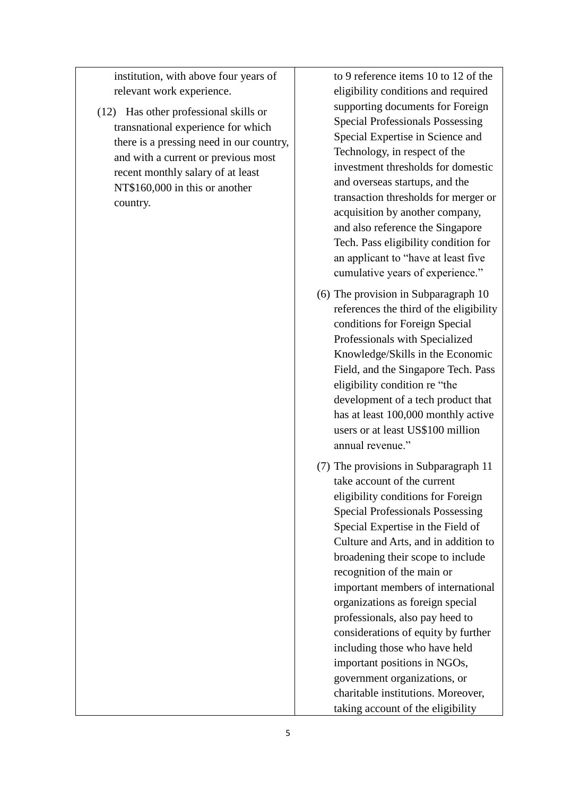institution, with above four years of relevant work experience.

(12) Has other professional skills or transnational experience for which there is a pressing need in our country, and with a current or previous most recent monthly salary of at least NT\$160,000 in this or another country.

to 9 reference items 10 to 12 of the eligibility conditions and required supporting documents for Foreign Special Professionals Possessing Special Expertise in Science and Technology, in respect of the investment thresholds for domestic and overseas startups, and the transaction thresholds for merger or acquisition by another company, and also reference the Singapore Tech. Pass eligibility condition for an applicant to "have at least five cumulative years of experience."

- (6) The provision in Subparagraph 10 references the third of the eligibility conditions for Foreign Special Professionals with Specialized Knowledge/Skills in the Economic Field, and the Singapore Tech. Pass eligibility condition re "the development of a tech product that has at least 100,000 monthly active users or at least US\$100 million annual revenue."
- (7) The provisions in Subparagraph 11 take account of the current eligibility conditions for Foreign Special Professionals Possessing Special Expertise in the Field of Culture and Arts, and in addition to broadening their scope to include recognition of the main or important members of international organizations as foreign special professionals, also pay heed to considerations of equity by further including those who have held important positions in NGOs, government organizations, or charitable institutions. Moreover, taking account of the eligibility